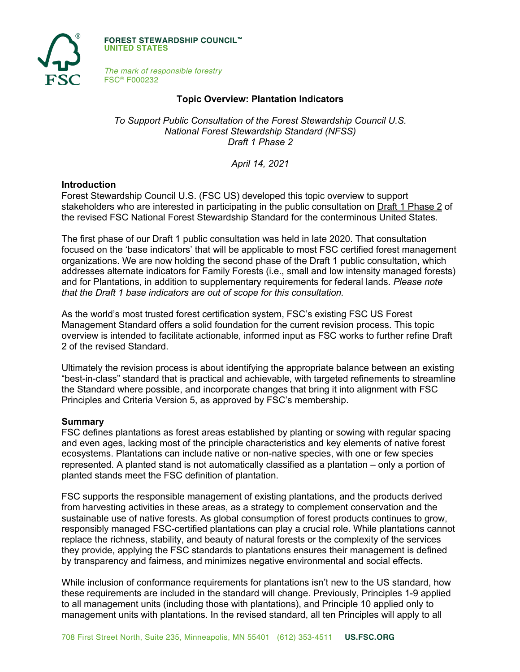

**FOREST STEWARDSHIP COUNCIL™ UNITED STATES**

*The mark of responsible forestry* FSC® F000232

## **Topic Overview: Plantation Indicators**

*To Support Public Consultation of the Forest Stewardship Council U.S. National Forest Stewardship Standard (NFSS) Draft 1 Phase 2*

*April 14, 2021*

### **Introduction**

Forest Stewardship Council U.S. (FSC US) developed this topic overview to support stakeholders who are interested in participating in the public consultation on Draft 1 Phase 2 of the revised FSC National Forest Stewardship Standard for the conterminous United States.

The first phase of our Draft 1 public consultation was held in late 2020. That consultation focused on the 'base indicators' that will be applicable to most FSC certified forest management organizations. We are now holding the second phase of the Draft 1 public consultation, which addresses alternate indicators for Family Forests (i.e., small and low intensity managed forests) and for Plantations, in addition to supplementary requirements for federal lands. *Please note that the Draft 1 base indicators are out of scope for this consultation.*

As the world's most trusted forest certification system, FSC's existing FSC US Forest Management Standard offers a solid foundation for the current revision process. This topic overview is intended to facilitate actionable, informed input as FSC works to further refine Draft 2 of the revised Standard.

Ultimately the revision process is about identifying the appropriate balance between an existing "best-in-class" standard that is practical and achievable, with targeted refinements to streamline the Standard where possible, and incorporate changes that bring it into alignment with FSC Principles and Criteria Version 5, as approved by FSC's membership.

#### **Summary**

FSC defines plantations as forest areas established by planting or sowing with regular spacing and even ages, lacking most of the principle characteristics and key elements of native forest ecosystems. Plantations can include native or non-native species, with one or few species represented. A planted stand is not automatically classified as a plantation – only a portion of planted stands meet the FSC definition of plantation.

FSC supports the responsible management of existing plantations, and the products derived from harvesting activities in these areas, as a strategy to complement conservation and the sustainable use of native forests. As global consumption of forest products continues to grow, responsibly managed FSC-certified plantations can play a crucial role. While plantations cannot replace the richness, stability, and beauty of natural forests or the complexity of the services they provide, applying the FSC standards to plantations ensures their management is defined by transparency and fairness, and minimizes negative environmental and social effects.

While inclusion of conformance requirements for plantations isn't new to the US standard, how these requirements are included in the standard will change. Previously, Principles 1-9 applied to all management units (including those with plantations), and Principle 10 applied only to management units with plantations. In the revised standard, all ten Principles will apply to all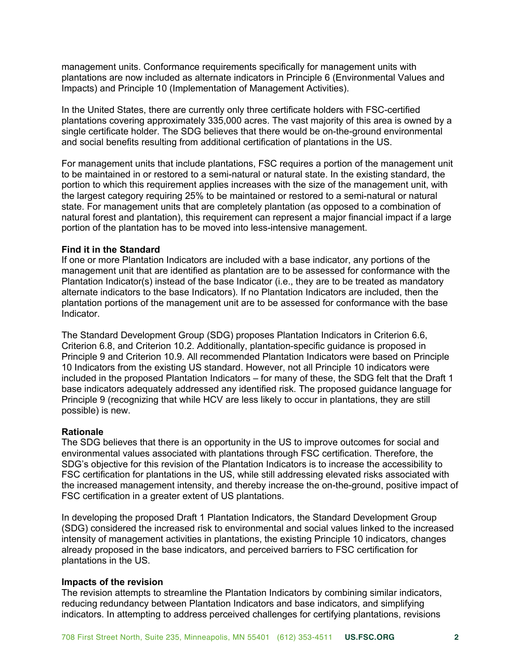management units. Conformance requirements specifically for management units with plantations are now included as alternate indicators in Principle 6 (Environmental Values and Impacts) and Principle 10 (Implementation of Management Activities).

In the United States, there are currently only three certificate holders with FSC-certified plantations covering approximately 335,000 acres. The vast majority of this area is owned by a single certificate holder. The SDG believes that there would be on-the-ground environmental and social benefits resulting from additional certification of plantations in the US.

For management units that include plantations, FSC requires a portion of the management unit to be maintained in or restored to a semi-natural or natural state. In the existing standard, the portion to which this requirement applies increases with the size of the management unit, with the largest category requiring 25% to be maintained or restored to a semi-natural or natural state. For management units that are completely plantation (as opposed to a combination of natural forest and plantation), this requirement can represent a major financial impact if a large portion of the plantation has to be moved into less-intensive management.

# **Find it in the Standard**

If one or more Plantation Indicators are included with a base indicator, any portions of the management unit that are identified as plantation are to be assessed for conformance with the Plantation Indicator(s) instead of the base Indicator (i.e., they are to be treated as mandatory alternate indicators to the base Indicators). If no Plantation Indicators are included, then the plantation portions of the management unit are to be assessed for conformance with the base Indicator.

The Standard Development Group (SDG) proposes Plantation Indicators in Criterion 6.6, Criterion 6.8, and Criterion 10.2. Additionally, plantation-specific guidance is proposed in Principle 9 and Criterion 10.9. All recommended Plantation Indicators were based on Principle 10 Indicators from the existing US standard. However, not all Principle 10 indicators were included in the proposed Plantation Indicators – for many of these, the SDG felt that the Draft 1 base indicators adequately addressed any identified risk. The proposed guidance language for Principle 9 (recognizing that while HCV are less likely to occur in plantations, they are still possible) is new.

### **Rationale**

The SDG believes that there is an opportunity in the US to improve outcomes for social and environmental values associated with plantations through FSC certification. Therefore, the SDG's objective for this revision of the Plantation Indicators is to increase the accessibility to FSC certification for plantations in the US, while still addressing elevated risks associated with the increased management intensity, and thereby increase the on-the-ground, positive impact of FSC certification in a greater extent of US plantations.

In developing the proposed Draft 1 Plantation Indicators, the Standard Development Group (SDG) considered the increased risk to environmental and social values linked to the increased intensity of management activities in plantations, the existing Principle 10 indicators, changes already proposed in the base indicators, and perceived barriers to FSC certification for plantations in the US.

### **Impacts of the revision**

The revision attempts to streamline the Plantation Indicators by combining similar indicators, reducing redundancy between Plantation Indicators and base indicators, and simplifying indicators. In attempting to address perceived challenges for certifying plantations, revisions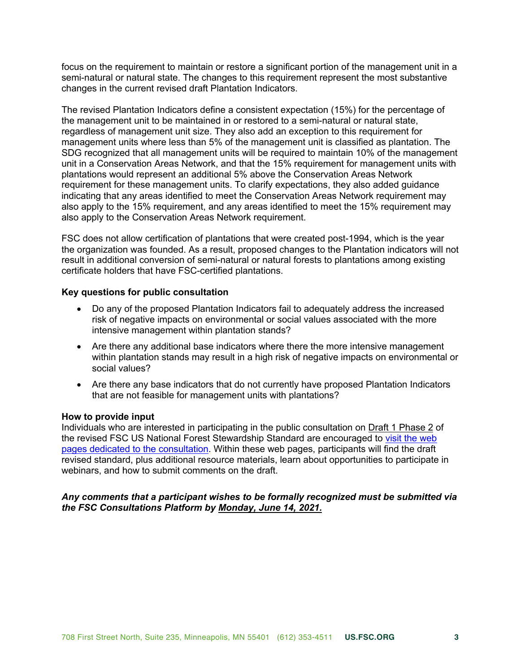focus on the requirement to maintain or restore a significant portion of the management unit in a semi-natural or natural state. The changes to this requirement represent the most substantive changes in the current revised draft Plantation Indicators.

The revised Plantation Indicators define a consistent expectation (15%) for the percentage of the management unit to be maintained in or restored to a semi-natural or natural state, regardless of management unit size. They also add an exception to this requirement for management units where less than 5% of the management unit is classified as plantation. The SDG recognized that all management units will be required to maintain 10% of the management unit in a Conservation Areas Network, and that the 15% requirement for management units with plantations would represent an additional 5% above the Conservation Areas Network requirement for these management units. To clarify expectations, they also added guidance indicating that any areas identified to meet the Conservation Areas Network requirement may also apply to the 15% requirement, and any areas identified to meet the 15% requirement may also apply to the Conservation Areas Network requirement.

FSC does not allow certification of plantations that were created post-1994, which is the year the organization was founded. As a result, proposed changes to the Plantation indicators will not result in additional conversion of semi-natural or natural forests to plantations among existing certificate holders that have FSC-certified plantations.

# **Key questions for public consultation**

- Do any of the proposed Plantation Indicators fail to adequately address the increased risk of negative impacts on environmental or social values associated with the more intensive management within plantation stands?
- Are there any additional base indicators where there the more intensive management within plantation stands may result in a high risk of negative impacts on environmental or social values?
- Are there any base indicators that do not currently have proposed Plantation Indicators that are not feasible for management units with plantations?

### **How to provide input**

Individuals who are interested in participating in the public consultation on Draft 1 Phase 2 of the revised FSC US National Forest Stewardship Standard are encouraged to [visit the web](https://www.engage.us.fsc.org)  [pages dedicated to the consultation.](https://www.engage.us.fsc.org) Within these web pages, participants will find the draft revised standard, plus additional resource materials, learn about opportunities to participate in webinars, and how to submit comments on the draft.

# *Any comments that a participant wishes to be formally recognized must be submitted via the FSC Consultations Platform by Monday, June 14, 2021.*